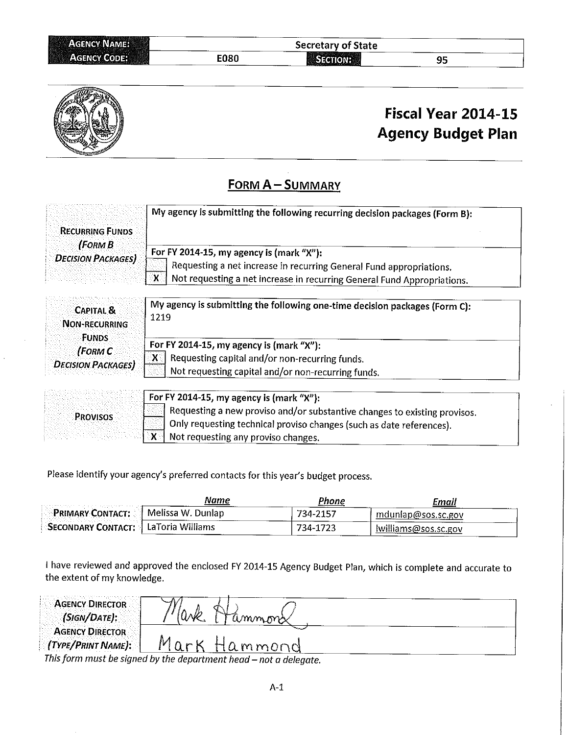| <b>AGENCY NAME:</b><br>5659 |             | <b>Secretary of State</b> |    |  |
|-----------------------------|-------------|---------------------------|----|--|
| <b>AGENCY CODE:</b>         | <b>E080</b> | ≔יוחר                     | JJ |  |



## Fiscal Year 2014-15 **Agency Budget Plan**

## **FORM A-SUMMARY**

|                           | My agency is submitting the following recurring decision packages (Form B): |
|---------------------------|-----------------------------------------------------------------------------|
| <b>RECURRING FUNDS</b>    |                                                                             |
| (FORM B                   | For FY 2014-15, my agency is (mark "X"):                                    |
| <b>DECISION PACKAGES)</b> | Requesting a net increase in recurring General Fund appropriations.         |
|                           | Not requesting a net increase in recurring General Fund Appropriations.     |

| <b>CAPITAL &amp;</b><br>Non-recurring<br>Funds | My agency is submitting the following one-time decision packages (Form C):<br>1219 |
|------------------------------------------------|------------------------------------------------------------------------------------|
| (FORM C                                        | For FY 2014-15, my agency is (mark "X"):                                           |
|                                                | Requesting capital and/or non-recurring funds.                                     |
| <b>DECISION PACKAGES</b>                       | Not requesting capital and/or non-recurring funds.                                 |
|                                                |                                                                                    |

| the state of the second control of the second control of the second control of the second control of the second control of the second control of the second control of the second control of the second control of the second<br>the second control of the second control | $\pm$ For FY 2014-15, my agency is (mark "X"):                            |
|---------------------------------------------------------------------------------------------------------------------------------------------------------------------------------------------------------------------------------------------------------------------------|---------------------------------------------------------------------------|
| .<br>.<br><b>EXAMPROVISOS</b>                                                                                                                                                                                                                                             | Requesting a new proviso and/or substantive changes to existing provisos. |
|                                                                                                                                                                                                                                                                           | I Only requesting technical proviso changes (such as date references).    |
| control de alternativo                                                                                                                                                                                                                                                    | Wot requesting any proviso changes.                                       |

Please identify your agency's preferred contacts for this year's budget process.

|                                              | Name | Phone    | Email                           |
|----------------------------------------------|------|----------|---------------------------------|
| <b>EPRIMARY CONTACT:</b> A Melissa W. Dunlap |      | 734-2157 | mdunlap@sos.sc.gov              |
| <b>SECONDARY CONTACT:</b> 1 LaToria Williams |      | 734-1723 | r Iwill <u>iams@sos.sc.go</u> v |

I have reviewed and approved the enclosed FY 2014-15 Agency Budget Plan, which is complete and accurate to the extent of my knowledge.

| <b>AGENCY DIRECTOR</b><br>$(SIGN/DATE)$ :             | ammons                                                             |  |
|-------------------------------------------------------|--------------------------------------------------------------------|--|
| <b>AGENCY DIRECTOR</b><br>$\Gamma$ (TYPE/PRINT NAME): | Mark Hammond                                                       |  |
|                                                       | This form must be signed by the denormant hood $=$ not a delayate. |  |

orm must be signed by the department head — not a delegate.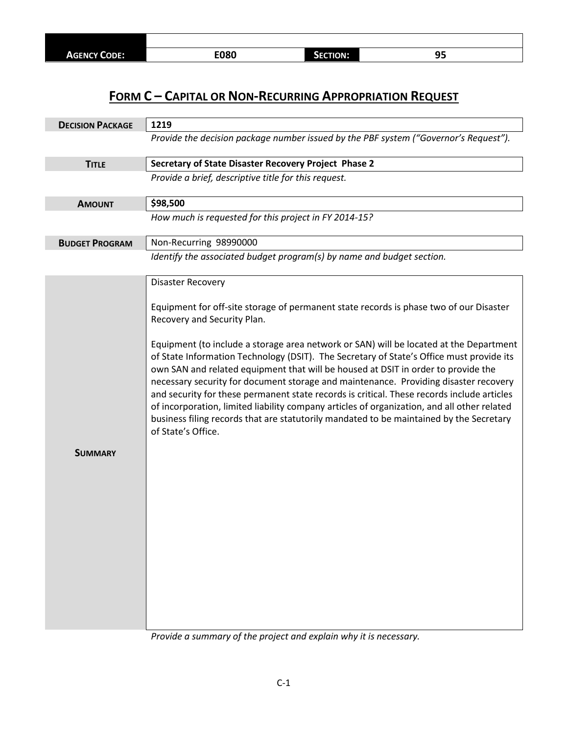## **FORM C – CAPITAL OR NON-RECURRING APPROPRIATION REQUEST**

| 1219                                                                                                                                                                                                                                                                                                                                                                                                                                                                                                                                                                                                                                                                          |  |  |  |
|-------------------------------------------------------------------------------------------------------------------------------------------------------------------------------------------------------------------------------------------------------------------------------------------------------------------------------------------------------------------------------------------------------------------------------------------------------------------------------------------------------------------------------------------------------------------------------------------------------------------------------------------------------------------------------|--|--|--|
| Provide the decision package number issued by the PBF system ("Governor's Request").                                                                                                                                                                                                                                                                                                                                                                                                                                                                                                                                                                                          |  |  |  |
| Secretary of State Disaster Recovery Project Phase 2                                                                                                                                                                                                                                                                                                                                                                                                                                                                                                                                                                                                                          |  |  |  |
| Provide a brief, descriptive title for this request.                                                                                                                                                                                                                                                                                                                                                                                                                                                                                                                                                                                                                          |  |  |  |
| \$98,500                                                                                                                                                                                                                                                                                                                                                                                                                                                                                                                                                                                                                                                                      |  |  |  |
| How much is requested for this project in FY 2014-15?                                                                                                                                                                                                                                                                                                                                                                                                                                                                                                                                                                                                                         |  |  |  |
| Non-Recurring 98990000                                                                                                                                                                                                                                                                                                                                                                                                                                                                                                                                                                                                                                                        |  |  |  |
| Identify the associated budget program(s) by name and budget section.                                                                                                                                                                                                                                                                                                                                                                                                                                                                                                                                                                                                         |  |  |  |
| <b>Disaster Recovery</b>                                                                                                                                                                                                                                                                                                                                                                                                                                                                                                                                                                                                                                                      |  |  |  |
| Equipment for off-site storage of permanent state records is phase two of our Disaster<br>Recovery and Security Plan.                                                                                                                                                                                                                                                                                                                                                                                                                                                                                                                                                         |  |  |  |
| Equipment (to include a storage area network or SAN) will be located at the Department<br>of State Information Technology (DSIT). The Secretary of State's Office must provide its<br>own SAN and related equipment that will be housed at DSIT in order to provide the<br>necessary security for document storage and maintenance. Providing disaster recovery<br>and security for these permanent state records is critical. These records include articles<br>of incorporation, limited liability company articles of organization, and all other related<br>business filing records that are statutorily mandated to be maintained by the Secretary<br>of State's Office. |  |  |  |
|                                                                                                                                                                                                                                                                                                                                                                                                                                                                                                                                                                                                                                                                               |  |  |  |
|                                                                                                                                                                                                                                                                                                                                                                                                                                                                                                                                                                                                                                                                               |  |  |  |

*Provide a summary of the project and explain why it is necessary.*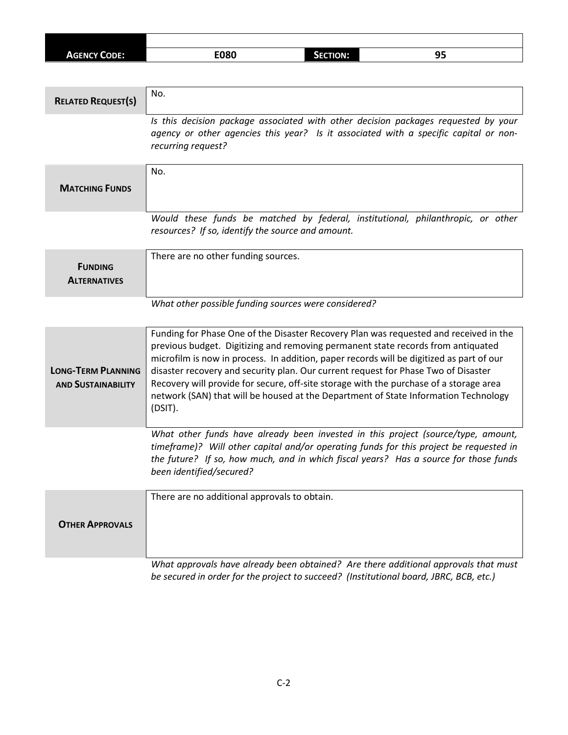| <b>AGENCY CODE:</b> | <b>E080</b> | <b>CTION:</b><br>13 | -- |
|---------------------|-------------|---------------------|----|

| <b>RELATED REQUEST(S)</b>                              | No.                                                                                                                                                                                                                                                                                                                                                                                                                                                                                                                                                     |
|--------------------------------------------------------|---------------------------------------------------------------------------------------------------------------------------------------------------------------------------------------------------------------------------------------------------------------------------------------------------------------------------------------------------------------------------------------------------------------------------------------------------------------------------------------------------------------------------------------------------------|
|                                                        | Is this decision package associated with other decision packages requested by your<br>agency or other agencies this year? Is it associated with a specific capital or non-<br>recurring request?                                                                                                                                                                                                                                                                                                                                                        |
| <b>MATCHING FUNDS</b>                                  | No.                                                                                                                                                                                                                                                                                                                                                                                                                                                                                                                                                     |
|                                                        | Would these funds be matched by federal, institutional, philanthropic, or other<br>resources? If so, identify the source and amount.                                                                                                                                                                                                                                                                                                                                                                                                                    |
| <b>FUNDING</b><br><b>ALTERNATIVES</b>                  | There are no other funding sources.                                                                                                                                                                                                                                                                                                                                                                                                                                                                                                                     |
|                                                        | What other possible funding sources were considered?                                                                                                                                                                                                                                                                                                                                                                                                                                                                                                    |
| <b>LONG-TERM PLANNING</b><br><b>AND SUSTAINABILITY</b> | Funding for Phase One of the Disaster Recovery Plan was requested and received in the<br>previous budget. Digitizing and removing permanent state records from antiquated<br>microfilm is now in process. In addition, paper records will be digitized as part of our<br>disaster recovery and security plan. Our current request for Phase Two of Disaster<br>Recovery will provide for secure, off-site storage with the purchase of a storage area<br>network (SAN) that will be housed at the Department of State Information Technology<br>(DSIT). |
|                                                        | What other funds have already been invested in this project (source/type, amount,<br>timeframe)? Will other capital and/or operating funds for this project be requested in<br>the future? If so, how much, and in which fiscal years? Has a source for those funds<br>been identified/secured?                                                                                                                                                                                                                                                         |
| <b>OTHER APPROVALS</b>                                 | There are no additional approvals to obtain.                                                                                                                                                                                                                                                                                                                                                                                                                                                                                                            |
|                                                        | What approvals have already been obtained? Are there additional approvals that must<br>be secured in order for the project to succeed? (Institutional board, JBRC, BCB, etc.)                                                                                                                                                                                                                                                                                                                                                                           |